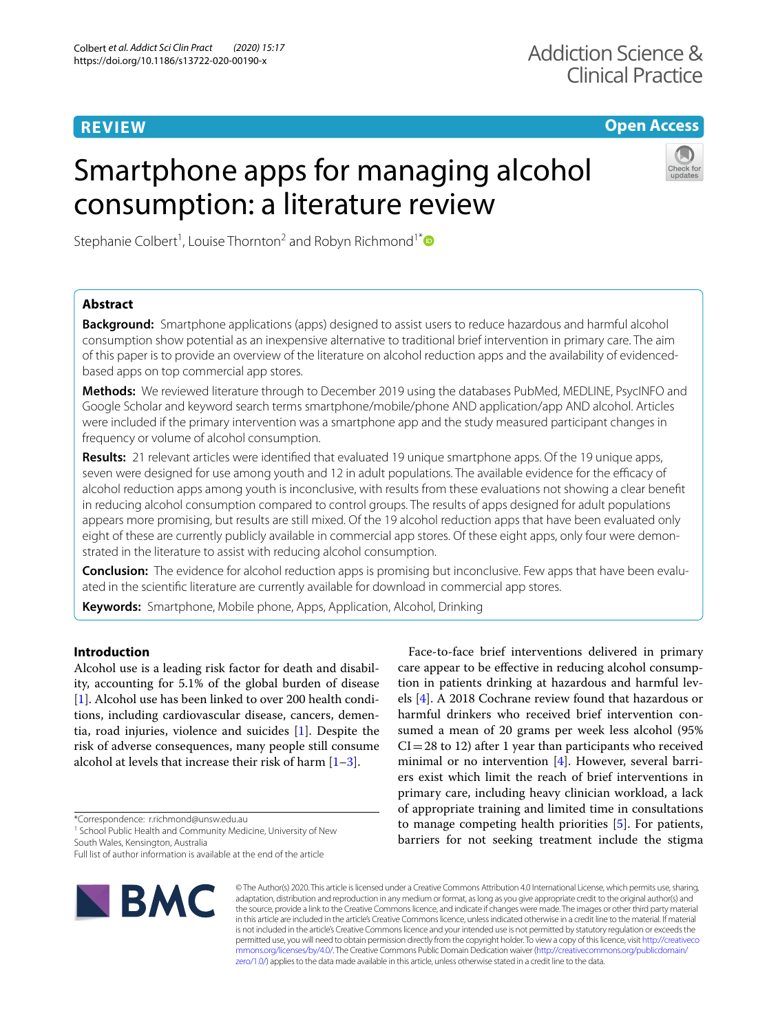# **REVIEW**

## **Open Access**

# Smartphone apps for managing alcohol consumption: a literature review



Stephanie Colbert<sup>1</sup>, Louise Thornton<sup>2</sup> and Robyn Richmond<sup>1[\\*](http://orcid.org/0000-0003-2897-4109)</sup>

## **Abstract**

**Background:** Smartphone applications (apps) designed to assist users to reduce hazardous and harmful alcohol consumption show potential as an inexpensive alternative to traditional brief intervention in primary care. The aim of this paper is to provide an overview of the literature on alcohol reduction apps and the availability of evidencedbased apps on top commercial app stores.

**Methods:** We reviewed literature through to December 2019 using the databases PubMed, MEDLINE, PsycINFO and Google Scholar and keyword search terms smartphone/mobile/phone AND application/app AND alcohol. Articles were included if the primary intervention was a smartphone app and the study measured participant changes in frequency or volume of alcohol consumption.

**Results:** 21 relevant articles were identifed that evaluated 19 unique smartphone apps. Of the 19 unique apps, seven were designed for use among youth and 12 in adult populations. The available evidence for the efficacy of alcohol reduction apps among youth is inconclusive, with results from these evaluations not showing a clear beneft in reducing alcohol consumption compared to control groups. The results of apps designed for adult populations appears more promising, but results are still mixed. Of the 19 alcohol reduction apps that have been evaluated only eight of these are currently publicly available in commercial app stores. Of these eight apps, only four were demonstrated in the literature to assist with reducing alcohol consumption.

**Conclusion:** The evidence for alcohol reduction apps is promising but inconclusive. Few apps that have been evaluated in the scientifc literature are currently available for download in commercial app stores.

**Keywords:** Smartphone, Mobile phone, Apps, Application, Alcohol, Drinking

## **Introduction**

Alcohol use is a leading risk factor for death and disability, accounting for 5.1% of the global burden of disease [[1\]](#page-14-0). Alcohol use has been linked to over 200 health conditions, including cardiovascular disease, cancers, dementia, road injuries, violence and suicides [\[1](#page-14-0)]. Despite the risk of adverse consequences, many people still consume alcohol at levels that increase their risk of harm  $[1-3]$  $[1-3]$ .

\*Correspondence: r.richmond@unsw.edu.au

<sup>1</sup> School Public Health and Community Medicine, University of New South Wales, Kensington, Australia

Full list of author information is available at the end of the article



Face-to-face brief interventions delivered in primary care appear to be efective in reducing alcohol consumption in patients drinking at hazardous and harmful levels [\[4](#page-14-2)]. A 2018 Cochrane review found that hazardous or harmful drinkers who received brief intervention consumed a mean of 20 grams per week less alcohol (95%  $CI = 28$  to 12) after 1 year than participants who received minimal or no intervention [[4\]](#page-14-2). However, several barriers exist which limit the reach of brief interventions in primary care, including heavy clinician workload, a lack of appropriate training and limited time in consultations to manage competing health priorities [\[5](#page-14-3)]. For patients, barriers for not seeking treatment include the stigma

© The Author(s) 2020. This article is licensed under a Creative Commons Attribution 4.0 International License, which permits use, sharing, adaptation, distribution and reproduction in any medium or format, as long as you give appropriate credit to the original author(s) and the source, provide a link to the Creative Commons licence, and indicate if changes were made. The images or other third party material in this article are included in the article's Creative Commons licence, unless indicated otherwise in a credit line to the material. If material is not included in the article's Creative Commons licence and your intended use is not permitted by statutory regulation or exceeds the permitted use, you will need to obtain permission directly from the copyright holder. To view a copy of this licence, visit [http://creativeco](http://creativecommons.org/licenses/by/4.0/) [mmons.org/licenses/by/4.0/.](http://creativecommons.org/licenses/by/4.0/) The Creative Commons Public Domain Dedication waiver ([http://creativecommons.org/publicdomain/](http://creativecommons.org/publicdomain/zero/1.0/) [zero/1.0/\)](http://creativecommons.org/publicdomain/zero/1.0/) applies to the data made available in this article, unless otherwise stated in a credit line to the data.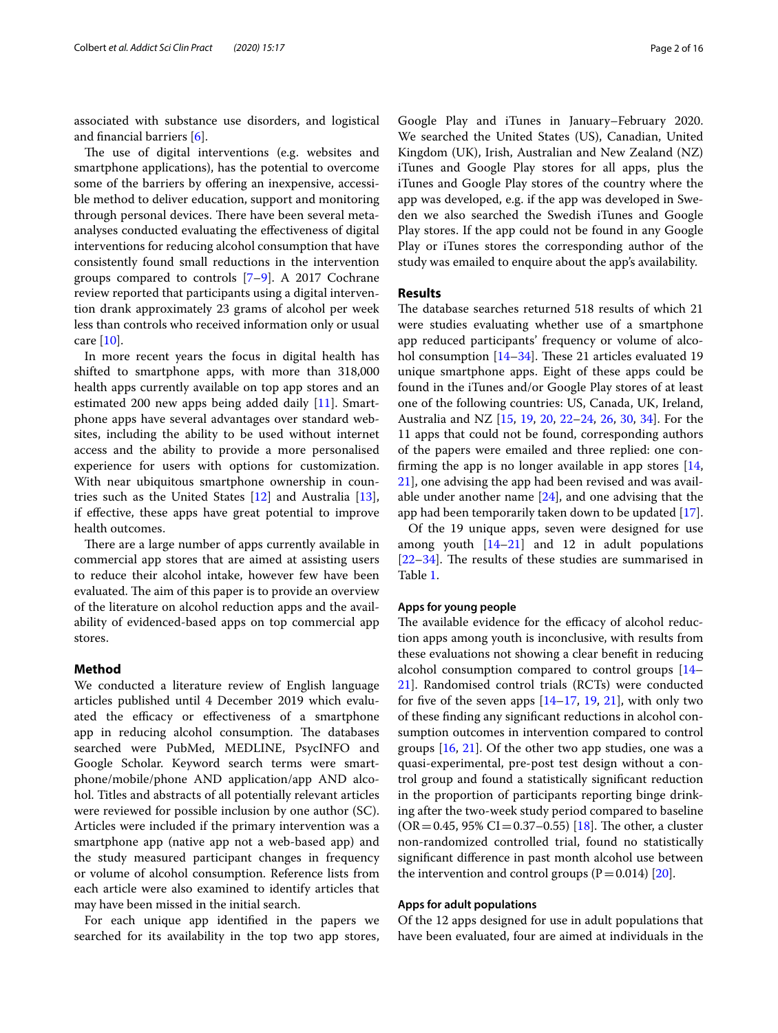associated with substance use disorders, and logistical and fnancial barriers [[6\]](#page-14-4).

The use of digital interventions (e.g. websites and smartphone applications), has the potential to overcome some of the barriers by offering an inexpensive, accessible method to deliver education, support and monitoring through personal devices. There have been several metaanalyses conducted evaluating the efectiveness of digital interventions for reducing alcohol consumption that have consistently found small reductions in the intervention groups compared to controls [\[7–](#page-14-5)[9\]](#page-14-6). A 2017 Cochrane review reported that participants using a digital intervention drank approximately 23 grams of alcohol per week less than controls who received information only or usual care [\[10](#page-14-7)].

In more recent years the focus in digital health has shifted to smartphone apps, with more than 318,000 health apps currently available on top app stores and an estimated 200 new apps being added daily [\[11](#page-14-8)]. Smartphone apps have several advantages over standard websites, including the ability to be used without internet access and the ability to provide a more personalised experience for users with options for customization. With near ubiquitous smartphone ownership in countries such as the United States [[12\]](#page-14-9) and Australia [\[13](#page-14-10)], if efective, these apps have great potential to improve health outcomes.

There are a large number of apps currently available in commercial app stores that are aimed at assisting users to reduce their alcohol intake, however few have been evaluated. The aim of this paper is to provide an overview of the literature on alcohol reduction apps and the availability of evidenced-based apps on top commercial app stores.

## **Method**

We conducted a literature review of English language articles published until 4 December 2019 which evaluated the efficacy or effectiveness of a smartphone app in reducing alcohol consumption. The databases searched were PubMed, MEDLINE, PsycINFO and Google Scholar. Keyword search terms were smartphone/mobile/phone AND application/app AND alcohol. Titles and abstracts of all potentially relevant articles were reviewed for possible inclusion by one author (SC). Articles were included if the primary intervention was a smartphone app (native app not a web-based app) and the study measured participant changes in frequency or volume of alcohol consumption. Reference lists from each article were also examined to identify articles that may have been missed in the initial search.

For each unique app identifed in the papers we searched for its availability in the top two app stores,

Google Play and iTunes in January–February 2020. We searched the United States (US), Canadian, United Kingdom (UK), Irish, Australian and New Zealand (NZ) iTunes and Google Play stores for all apps, plus the iTunes and Google Play stores of the country where the app was developed, e.g. if the app was developed in Sweden we also searched the Swedish iTunes and Google Play stores. If the app could not be found in any Google Play or iTunes stores the corresponding author of the study was emailed to enquire about the app's availability.

## **Results**

The database searches returned 518 results of which 21 were studies evaluating whether use of a smartphone app reduced participants' frequency or volume of alco-hol consumption [[14–](#page-14-11)[34](#page-15-0)]. These 21 articles evaluated 19 unique smartphone apps. Eight of these apps could be found in the iTunes and/or Google Play stores of at least one of the following countries: US, Canada, UK, Ireland, Australia and NZ [\[15](#page-14-12), [19](#page-15-1), [20,](#page-15-2) [22–](#page-15-3)[24](#page-15-4), [26,](#page-15-5) [30,](#page-15-6) [34](#page-15-0)]. For the 11 apps that could not be found, corresponding authors of the papers were emailed and three replied: one confrming the app is no longer available in app stores [[14](#page-14-11), [21\]](#page-15-7), one advising the app had been revised and was available under another name [\[24](#page-15-4)], and one advising that the app had been temporarily taken down to be updated [\[17](#page-14-13)].

Of the 19 unique apps, seven were designed for use among youth  $[14-21]$  $[14-21]$  and 12 in adult populations  $[22-34]$  $[22-34]$ . The results of these studies are summarised in Table [1](#page-2-0).

### **Apps for young people**

The available evidence for the efficacy of alcohol reduction apps among youth is inconclusive, with results from these evaluations not showing a clear beneft in reducing alcohol consumption compared to control groups [[14–](#page-14-11) [21\]](#page-15-7). Randomised control trials (RCTs) were conducted for five of the seven apps  $[14–17, 19, 21]$  $[14–17, 19, 21]$  $[14–17, 19, 21]$  $[14–17, 19, 21]$  $[14–17, 19, 21]$  $[14–17, 19, 21]$  $[14–17, 19, 21]$ , with only two of these fnding any signifcant reductions in alcohol consumption outcomes in intervention compared to control groups [\[16,](#page-14-14) [21](#page-15-7)]. Of the other two app studies, one was a quasi-experimental, pre-post test design without a control group and found a statistically signifcant reduction in the proportion of participants reporting binge drinking after the two-week study period compared to baseline  $(OR = 0.45, 95\% CI = 0.37 - 0.55)$  [\[18\]](#page-14-15). The other, a cluster non-randomized controlled trial, found no statistically signifcant diference in past month alcohol use between the intervention and control groups  $(P=0.014)$  [\[20](#page-15-2)].

## **Apps for adult populations**

Of the 12 apps designed for use in adult populations that have been evaluated, four are aimed at individuals in the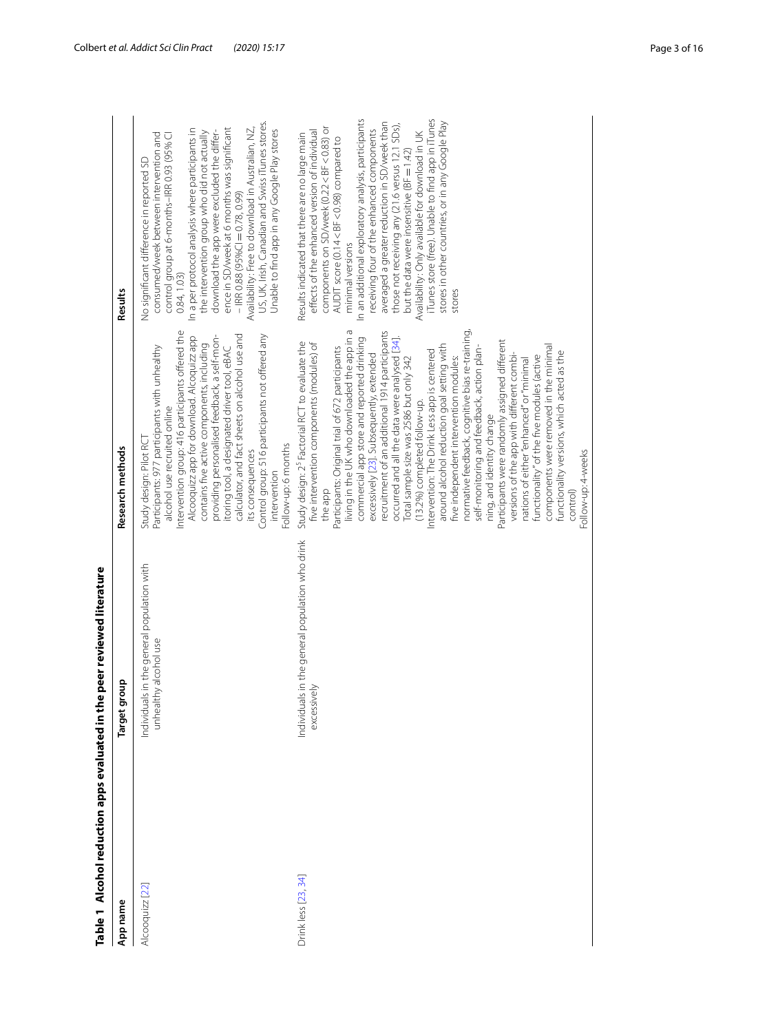<span id="page-2-0"></span>

| Table 1 Alcohol reduction apps evaluated in the peer reviewed literature<br>App name | Target group                                                        | Research methods                                                                                                                                                                                                                                                                                                                                                                                                                                                                                                                                                                                                                                                                                                                                                                                                                                                                                                                                                                                                                                                                     | Results                                                                                                                                                                                                                                                                                                                                                                                                                                                                                                                                                                                                                                    |
|--------------------------------------------------------------------------------------|---------------------------------------------------------------------|--------------------------------------------------------------------------------------------------------------------------------------------------------------------------------------------------------------------------------------------------------------------------------------------------------------------------------------------------------------------------------------------------------------------------------------------------------------------------------------------------------------------------------------------------------------------------------------------------------------------------------------------------------------------------------------------------------------------------------------------------------------------------------------------------------------------------------------------------------------------------------------------------------------------------------------------------------------------------------------------------------------------------------------------------------------------------------------|--------------------------------------------------------------------------------------------------------------------------------------------------------------------------------------------------------------------------------------------------------------------------------------------------------------------------------------------------------------------------------------------------------------------------------------------------------------------------------------------------------------------------------------------------------------------------------------------------------------------------------------------|
| Alcooquizz [22]                                                                      | Individuals in the general population with<br>unhealthy alcohol use | Intervention group: 416 participants offered the<br>calculator, and fact sheets on alcohol use and<br>providing personalised feedback, a self-mon-<br>Control group: 516 participants not offered any<br>Alcooquizz app for download. Alcoquizz app<br>contains five active components, including<br>itoring tool, a designated driver tool, eBAC<br>Participants: 977 participants with unhealthy<br>alcohol use recruited online<br>Study design: Pilot RC<br>-ollow-up: 6 months<br>its consequences<br>intervention                                                                                                                                                                                                                                                                                                                                                                                                                                                                                                                                                              | US, UK, Irish, Canadian and Swiss iTunes stores.<br>Availability: Free to download in Australian, NZ,<br>ence in SD/week at 6 months was significant<br>Unable to find app in any Google Play stores<br>In a per protocol analysis where participants in<br>download the app were excluded the differ-<br>the intervention group who did not actually<br>consumed/week between intervention and<br>control group at 6-months-IRR 0.93 (95% CI<br>No significant difference in reported SD<br>$-$ IRR 0.88 (95%CI = 0.78, 0.99)<br>0.84, 1.03                                                                                               |
| Drink less [23, 34]                                                                  | Individuals in the general population who drink<br>excessively      | living in the UK who downloaded the app in a<br>recruitment of an additional 1914 participants<br>normative feedback, cognitive bias re-training,<br>occurred and all the data were analysed [34].<br>commercial app store and reported drinking<br>Participants were randomly assigned different<br>Study design: 2 <sup>5</sup> Factorial RCT to evaluate the<br>five intervention components (modules) of<br>around alcohol reduction goal setting with<br>components were removed in the minimal<br>Participants: Original trial of 672 participants<br>self-monitoring and feedback, action plan-<br>ntervention: The Drink Less app is centered<br>functionality versions, which acted as the<br>excessively [23]. Subsequently, extended<br>versions of the app with different combi-<br>functionality" of the five modules (active<br>five independent intervention modules:<br>Total sample size was 2586 but only 342<br>nations of either "enhanced" or "minimal<br>(13.2%) completed follow-up.<br>ning, and identity change<br>Follow-up: 4-weeks<br>the app<br>control | iTunes store (free). Unable to find app in iTunes<br>In an additional exploratory analysis, participants<br>stores in other countries, or in any Google Play<br>averaged a greater reduction in SD/week than<br>those not receiving any (21.6 versus 12.1 SDs),<br>components on SD/week (0.22 < BF < 0.83) or<br>receiving four of the enhanced components<br>effects of the enhanced version of individual<br>Availability: Only available for download in UK<br>Results indicated that there are no large main<br>AUDIT score (0.14 < BF < 0.98) compared to<br>but the data were insensitive (BF = 1.42)<br>minimal versions<br>stores |
|                                                                                      |                                                                     |                                                                                                                                                                                                                                                                                                                                                                                                                                                                                                                                                                                                                                                                                                                                                                                                                                                                                                                                                                                                                                                                                      |                                                                                                                                                                                                                                                                                                                                                                                                                                                                                                                                                                                                                                            |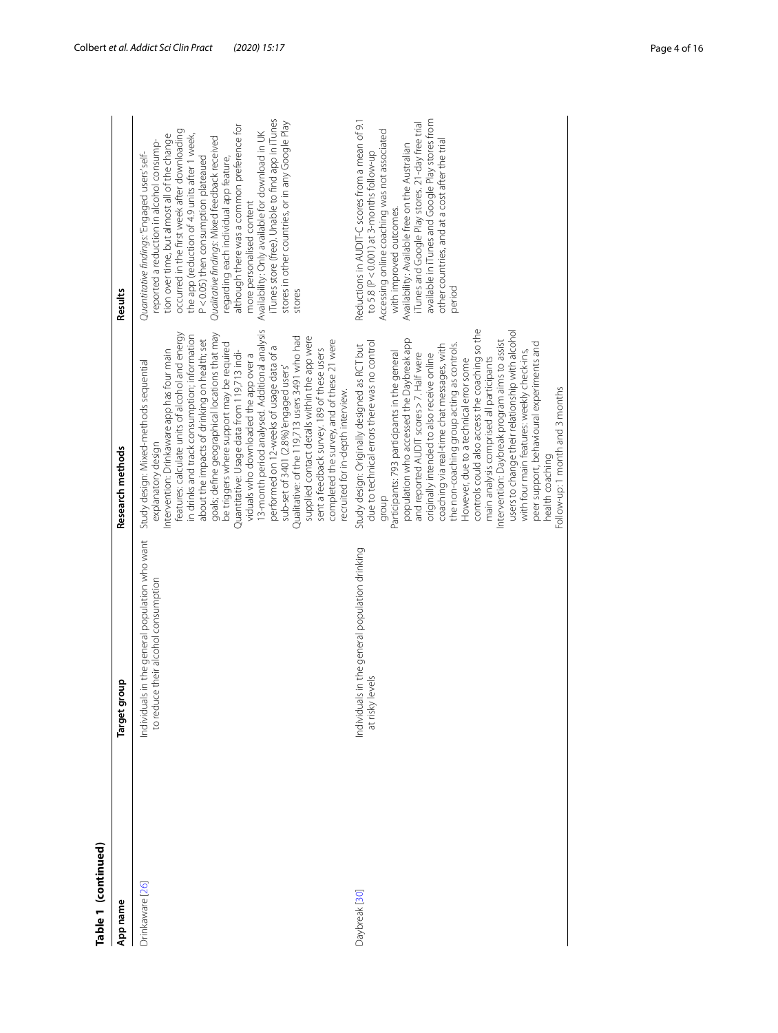| Table 1 (continued) |                                                                                       |                                                                                                                                                                                                                                                                                                                                                                                                                                                                                                                                                                                                                                                                                                                                                                                                                          |                                                                                                                                                                                                                                                                                                                                                                                                                                                                                                                                                                                                                             |
|---------------------|---------------------------------------------------------------------------------------|--------------------------------------------------------------------------------------------------------------------------------------------------------------------------------------------------------------------------------------------------------------------------------------------------------------------------------------------------------------------------------------------------------------------------------------------------------------------------------------------------------------------------------------------------------------------------------------------------------------------------------------------------------------------------------------------------------------------------------------------------------------------------------------------------------------------------|-----------------------------------------------------------------------------------------------------------------------------------------------------------------------------------------------------------------------------------------------------------------------------------------------------------------------------------------------------------------------------------------------------------------------------------------------------------------------------------------------------------------------------------------------------------------------------------------------------------------------------|
| App name            | Target group                                                                          | Research methods                                                                                                                                                                                                                                                                                                                                                                                                                                                                                                                                                                                                                                                                                                                                                                                                         | Results                                                                                                                                                                                                                                                                                                                                                                                                                                                                                                                                                                                                                     |
| Drinkaware [26]     | Individuals in the general population who want<br>to reduce their alcohol consumption | 3-month period analysed. Additional analysis<br>features: calculate units of alcohol and energy<br>goals; define geographical locations that may<br>in drinks and track consumption; information<br>supplied contact details within the app were<br>Qualitative: of the 119,713 users 3491 who had<br>about the impacts of drinking on health; set<br>completed the survey, and of these 21 were<br>be triggers where support may be required<br>sent a feedback survey. 189 of these users<br>ntervention: Drinkaware app has four main<br>Quantitative: Usage data from 119,713 indi-<br>viduals who downloaded the app over a<br>performed on 12-weeks of usage data of<br>Study design: Mixed-methods sequential<br>sub-set of 3401 (2.8%)'engaged users'<br>recruited for in-depth interview.<br>explanatory design | iTunes store (free). Unable to find app in iTunes<br>stores in other countries, or in any Google Play<br>although there was a common preference for<br>occurred in the first week after downloading<br>Availability: Only available for download in UK<br>the app (reduction of 4.9 units after 1 week,<br>tion over time, but almost all of the change<br>Qualitative findings: Mixed feedback received<br>reported a reduction in alcohol consump-<br>Quantitative findings: 'Engaged users' self-<br>P<0.05) then consumption plateaued<br>regarding each individual app feature,<br>more personalised content<br>stores |
| Daybreak [30]       | Individuals in the general population drinking<br>levels<br>at risky                  | controls could also access the coaching so the<br>users to change their relationship with alcohol<br>population who accessed the Daybreak app<br>ntervention: Daybreak program aims to assist<br>due to technical errors there was no control<br>the non-coaching group acting as controls.<br>peer support, behavioural experiments and<br>Study design: Originally designed as RCT but<br>coaching via real-time chat messages, with<br>Participants: 793 participants in the general<br>with four main features: weekly check-ins,<br>and reported AUDIT scores > 7. Half were<br>originally intended to also receive online<br>main analysis comprised all participants<br>However, due to a technical error some<br>Follow-up: 1 month and 3 months<br>health coaching<br>aroup                                     | Reductions in AUDIT-C scores from a mean of 9.1<br>available in iTunes and Google Play stores from<br>iTunes and Google Play stores. 21-day free trial<br>Accessing online coaching was not associated<br>other countries, and at a cost after the trial<br>Availability: Available free on the Australian<br>to 5.8 ( $P < 0.001$ ) at 3-months follow-up<br>with improved outcomes.<br>period                                                                                                                                                                                                                             |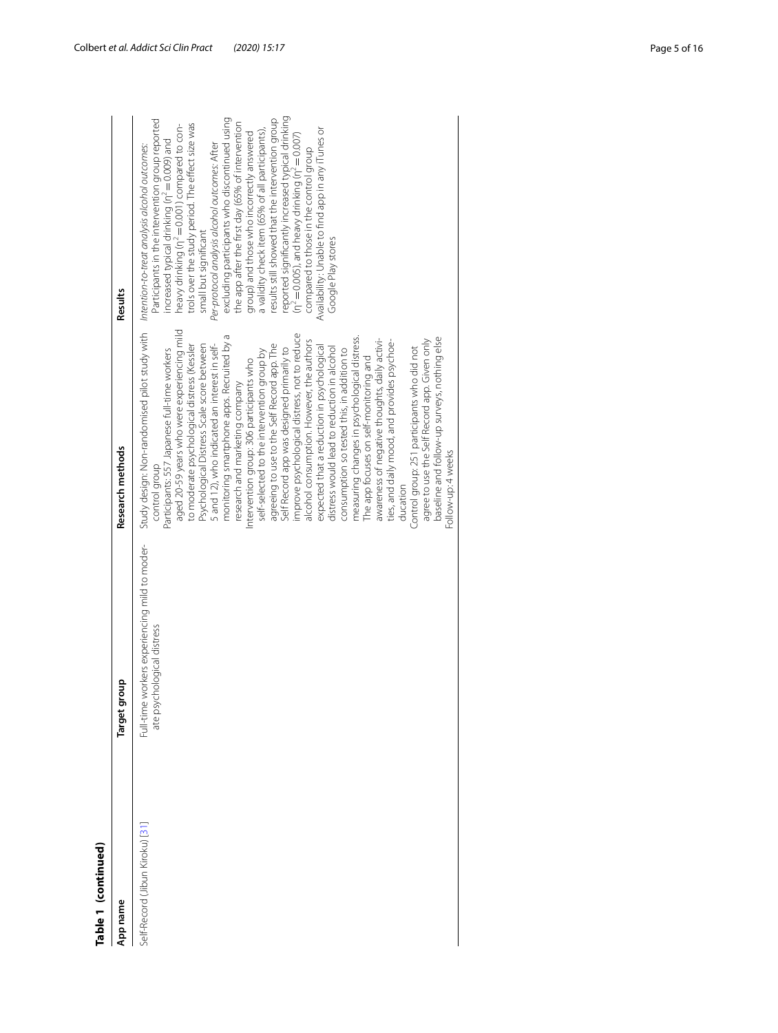| Table 1 (continued)             |                                                                             |                                                                                                                                                                                                                                                                                                                                                                                                                                                                                                                                                                                                                                                                                                                                                                                                                                                                                                                                                                                                                                                                                                                                                                                                                                                    |                                                                                                                                                                                                                                                                                                                                                                                                                                                                                                                                                                                                                                                                                                                                                                                                  |
|---------------------------------|-----------------------------------------------------------------------------|----------------------------------------------------------------------------------------------------------------------------------------------------------------------------------------------------------------------------------------------------------------------------------------------------------------------------------------------------------------------------------------------------------------------------------------------------------------------------------------------------------------------------------------------------------------------------------------------------------------------------------------------------------------------------------------------------------------------------------------------------------------------------------------------------------------------------------------------------------------------------------------------------------------------------------------------------------------------------------------------------------------------------------------------------------------------------------------------------------------------------------------------------------------------------------------------------------------------------------------------------|--------------------------------------------------------------------------------------------------------------------------------------------------------------------------------------------------------------------------------------------------------------------------------------------------------------------------------------------------------------------------------------------------------------------------------------------------------------------------------------------------------------------------------------------------------------------------------------------------------------------------------------------------------------------------------------------------------------------------------------------------------------------------------------------------|
| App name                        | Target group                                                                | Research methods                                                                                                                                                                                                                                                                                                                                                                                                                                                                                                                                                                                                                                                                                                                                                                                                                                                                                                                                                                                                                                                                                                                                                                                                                                   | Results                                                                                                                                                                                                                                                                                                                                                                                                                                                                                                                                                                                                                                                                                                                                                                                          |
| Self-Record (Jibun Kiroku) [31] | Full-time workers experiencing mild to moder-<br>ate psychological distress | Study design: Non-randomised pilot study with htention-to-treat analysis alcohol outcomes:<br>aged 20-59 years who were experiencing mild<br>improve psychological distress, not to reduce<br>monitoring smartphone apps. Recruited by a<br>measuring changes in psychological distress.<br>awareness of negative thoughts, daily activi-<br>baseline and follow-up surveys, nothing else<br>alcohol consumption. However, the authors<br>agree to use the Self Record app. Given only<br>ties, and daily mood, and provides psychoe-<br>Psychological Distress Scale score between<br>agreeing to use to the Self Record app. The<br>5 and 12), who indicated an interest in self-<br>to moderate psychological distress (Kessler<br>expected that a reduction in psychological<br>distress would lead to reduction in alcohol<br>Control group: 251 participants who did not<br>Self Record app was designed primarily to<br>consumption so tested this, in addition to<br>Participants: 557 Japanese full-time workers<br>self-selected to the intervention group by<br>The app focuses on self-monitoring and<br>Intervention group: 306 participants who<br>research and marketing company<br>Follow-up: 4 weeks<br>control group<br>ducation | reported significantly increased typical drinking<br>Participants in the intervention group reported<br>excluding participants who discontinued using<br>results still showed that the intervention group<br>the app after the first day (65% of intervention<br>trols over the study period. The effect size was<br>heavy drinking (n <sup>2</sup> = 0.001) compared to con-<br>a validity check item (65% of all participants),<br>Availability: Unable to find app in any iTunes or<br>group) and those who incorrectly answered<br>$(n^2 = 0.005)$ , and heavy drinking $(n^2 = 0.007)$<br>increased typical drinking (n <sup>2</sup> = 0.009) and<br>Per-protocol analysis alcohol outcomes: After<br>compared to those in the control group<br>small but significant<br>Google Play stores |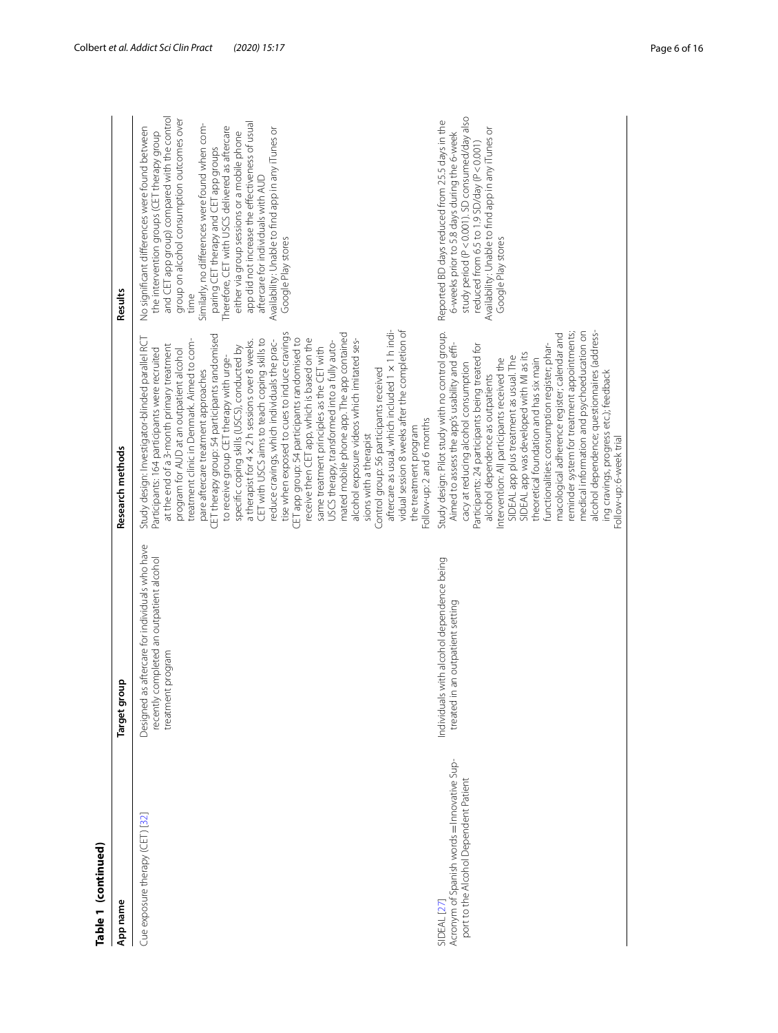| Table 1 (continued)                                                                                           |                                                                                                                 |                                                                                                                                                                                                                                                                                                                                                                                                                                                                                                                                                                                                                                                                                                                                                                                                                                                                                                                                                                                                                                                                                                                                                      |                                                                                                                                                                                                                                                                                                                                                                                                                                                                                                                                                                    |
|---------------------------------------------------------------------------------------------------------------|-----------------------------------------------------------------------------------------------------------------|------------------------------------------------------------------------------------------------------------------------------------------------------------------------------------------------------------------------------------------------------------------------------------------------------------------------------------------------------------------------------------------------------------------------------------------------------------------------------------------------------------------------------------------------------------------------------------------------------------------------------------------------------------------------------------------------------------------------------------------------------------------------------------------------------------------------------------------------------------------------------------------------------------------------------------------------------------------------------------------------------------------------------------------------------------------------------------------------------------------------------------------------------|--------------------------------------------------------------------------------------------------------------------------------------------------------------------------------------------------------------------------------------------------------------------------------------------------------------------------------------------------------------------------------------------------------------------------------------------------------------------------------------------------------------------------------------------------------------------|
| App name                                                                                                      | Target group                                                                                                    | Research methods                                                                                                                                                                                                                                                                                                                                                                                                                                                                                                                                                                                                                                                                                                                                                                                                                                                                                                                                                                                                                                                                                                                                     | Results                                                                                                                                                                                                                                                                                                                                                                                                                                                                                                                                                            |
| Cue exposure therapy (CET) [32]                                                                               | Designed as aftercare for individuals who have<br>recently completed an outpatient alcohol<br>treatment program | vidual session 8 weeks after the completion of<br>aftercare as usual, which included 1 x 1 h indi-<br>tise when exposed to cues to induce cravings<br>mated mobile phone app. The app contained<br>CET therapy group: 54 participants randomised<br>CET app group: 54 participants randomised to<br>receive then CET app, which is based on the<br>Study design: Investigator-blinded parallel RCT<br>CET with USCS aims to teach coping skills to<br>treatment clinic in Denmark. Aimed to com-<br>a therapist for 4 x 2 h sessions over 8 weeks.<br>reduce cravings, which individuals the prac-<br>alcohol exposure videos which imitated ses-<br>USCS therapy, transformed into a fully auto-<br>at the end of a 3-month primary treatment<br>specific coping skills (USCS), conducted by<br>same treatment principles as the CET with<br>Participants: 164 participants were recruited<br>program for AUD at an outpatient alcohol<br>to receive group CET therapy with urge-<br>Control group: 56 participants received<br>pare aftercare treatment approaches<br>Follow-up: 2 and 6 months<br>the treatment program<br>sions with a therapist | and CET app group) compared with the control<br>group on alcohol consumption outcomes over<br>app did not increase the effectiveness of usual<br>Similarly, no differences were found when com-<br>Therefore, CET with USCS delivered as aftercare<br>No significant differences were found between<br>Availability: Unable to find app in any iTunes or<br>the intervention groups (CET therapy group<br>either via group sessions or a mobile phone<br>paring CET therapy and CET app groups<br>aftercare for individuals with AUD<br>Google Play stores<br>time |
| Acronym of Spanish words = Innovative Sup-<br>port to the Alcohol Dependent Patient<br>SIDEAL <sub>[27]</sub> | Individuals with alcohol dependence being<br>an outpatient setting<br>treated in                                | alcohol dependence; questionnaires (address-<br>Study design: Pilot study with no control group.<br>medical information and psychoeducation on<br>reminder system for treatment appointments;<br>macological adherence register; calendar and<br>Aimed to assess the app's usability and effi-<br>Participants: 24 participants being treated for<br>functionalities: consumption register; phar-<br>SIDEAL app was developed with MI as its<br>SIDEAL app plus treatment as usual. The<br>Intervention: All participants received the<br>theoretical foundation and has six main<br>cacy at reducing alcohol consumption<br>ing cravings, progress etc.); feedback<br>alcohol dependence as outpatients<br>Follow-up: 6-week trial                                                                                                                                                                                                                                                                                                                                                                                                                  | study period (P<0.001). SD consumed/day also<br>Reported BD days reduced from 25.5 days in the<br>Availability: Unable to find app in any iTunes or<br>6-weeks prior to 5.8 days during the 6-week<br>reduced from 6.5 to 1.9 SD/day (P<0.001)<br>Google Play stores                                                                                                                                                                                                                                                                                               |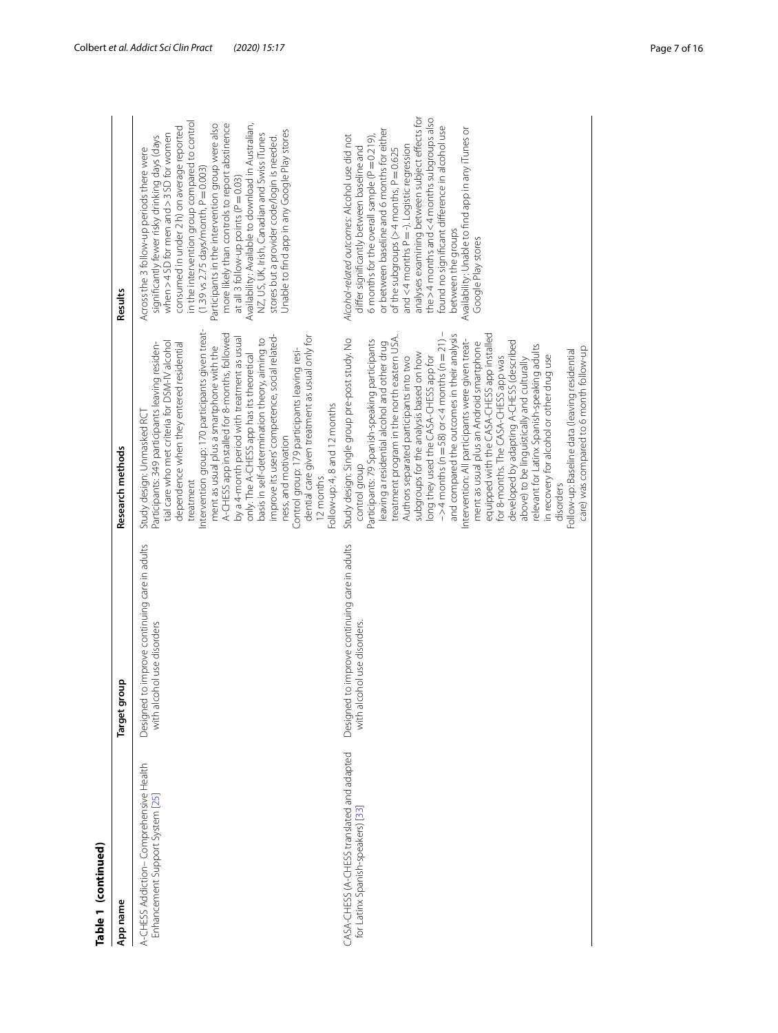| i |  |
|---|--|

| Table 1 (continued)                                                             |                                                                                 |                                                                                                                                                                                                                                                                                                                                                                                                                                                                                                                                                                                                                                                                                                                                                                                                                                                                                                                                          |                                                                                                                                                                                                                                                                                                                                                                                                                                                                                                                                                                                                                                                         |
|---------------------------------------------------------------------------------|---------------------------------------------------------------------------------|------------------------------------------------------------------------------------------------------------------------------------------------------------------------------------------------------------------------------------------------------------------------------------------------------------------------------------------------------------------------------------------------------------------------------------------------------------------------------------------------------------------------------------------------------------------------------------------------------------------------------------------------------------------------------------------------------------------------------------------------------------------------------------------------------------------------------------------------------------------------------------------------------------------------------------------|---------------------------------------------------------------------------------------------------------------------------------------------------------------------------------------------------------------------------------------------------------------------------------------------------------------------------------------------------------------------------------------------------------------------------------------------------------------------------------------------------------------------------------------------------------------------------------------------------------------------------------------------------------|
| App name                                                                        | qno<br>Target gl                                                                | Research methods                                                                                                                                                                                                                                                                                                                                                                                                                                                                                                                                                                                                                                                                                                                                                                                                                                                                                                                         | Results                                                                                                                                                                                                                                                                                                                                                                                                                                                                                                                                                                                                                                                 |
| A-CHESS Addiction-Comprehensive Health<br>Enhancement Support System [25]       | to improve continuing care in adults<br>with alcohol use disorders<br>Designed  | Intervention group: 170 participants given treat-<br>A-CHESS app installed for 8-months, followed<br>improve its users' competence, social related-<br>dential care given treatment as usual only for<br>by a 4-month period with treatment as usual<br>basis in self-determination theory, aiming to<br>tial care who met criteria for DSM-IV alcohol<br>Participants: 349 participants leaving residen-<br>dependence when they entered residential<br>ment as usual plus a smartphone with the<br>Control group: 179 participants leaving resi-<br>only. The A-CHESS app has its theoretical<br>Follow-up: 4, 8 and 12 months<br>Study design: Unmasked RC<br>ness, and motivation<br>12 months<br>treatment                                                                                                                                                                                                                          | in the intervention group compared to control<br>more likely than controls to report abstinence<br>Participants in the intervention group were also<br>Availability: Available to download in Australian,<br>consumed in under 2 h) on average reported<br>Jnable to find app in any Google Play stores<br>NZ, US, UK, Irish, Canadian and Swiss iTunes<br>when > 4 SD for men and > 3 SD for women<br>significantly fewer risky drinking days (days<br>stores but a provider code/login is needed.<br>Across the 3 follow-up periods there were<br>$(1.39 \text{ vs } 2.75 \text{ days/morth}, P = 0.003)$<br>at all 3 follow-up points ( $P = 0.03$ ) |
| CASA-CHESS (A-CHESS translated and adapted<br>for Latinx Spanish-speakers) [33] | to improve continuing care in adults<br>with alcohol use disorders.<br>Designed | $-$ > 4 months (n = 58) or < 4 months (n = 21) $-$<br>and compared the outcomes in their analysis<br>equipped with the CASA-CHESS app installed<br>treatment program in the north eastern USA.<br>Study design: Single group pre-post study. No<br>Intervention: All participants were given treat-<br>Participants: 79 Spanish-speaking participants<br>developed by adapting A-CHESS (described<br>ment as usual plus an Android smartphone<br>leaving a residential alcohol and other drug<br>relevant for Latinx Spanish-speaking adults<br>care) was compared to 6 month follow-up<br>Follow-up: Baseline data (leaving residential<br>subgroups for the analysis based on how<br>in recovery for alcohol or other drug use<br>Authors separated participants into two<br>long they used the CASA-CHESS app for<br>for 8-months. The CASA-CHESS app was<br>above) to be linguistically and culturally<br>control group<br>disorders | analyses examining between subject effects for<br>the >4 months and <4 months subgroups also<br>found no significant difference in alcohol use<br>Availability: Unable to find app in any iTunes or<br>or between baseline and 6 months for either<br>Alcohol-related outcomes: Alcohol use did not<br>6 months for the overall sample ( $P = 0.219$ )<br>and < 4 months $P = -1$ . Logistic regression<br>differ significantly between baseline and<br>of the subgroups ( $>4$ months, $P = 0.625$<br>between the groups<br>Google Play stores                                                                                                         |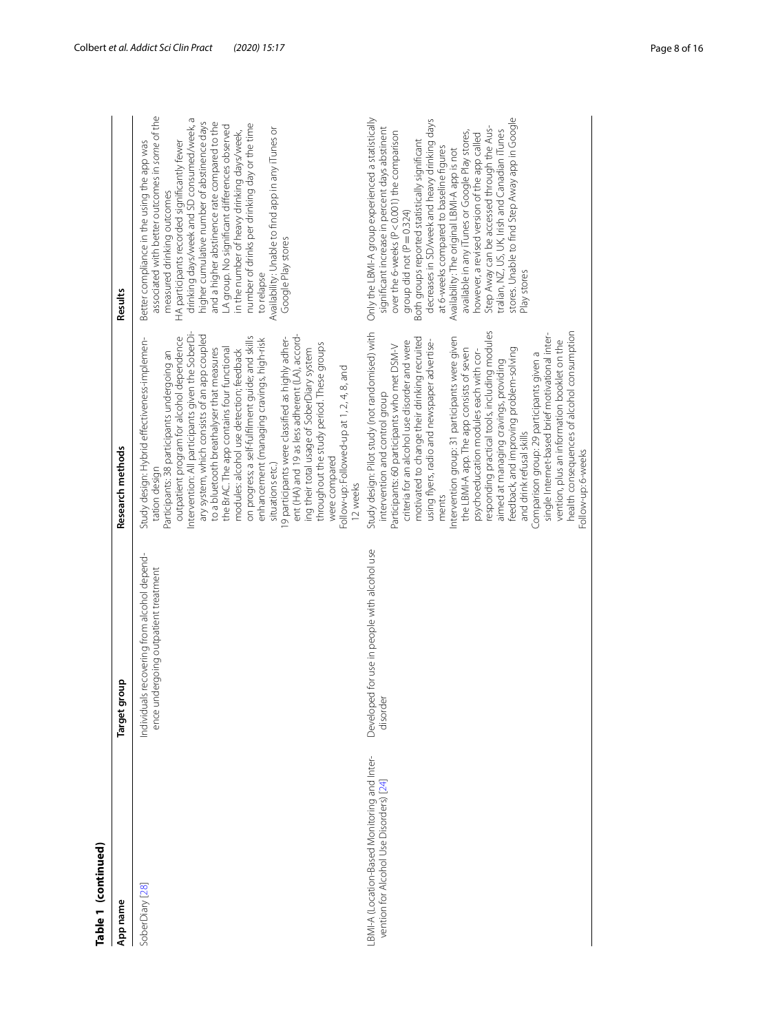| Table 1 (continued)                                                                    |                                                                                     |                                                                                                                                                                                                                                                                                                                                                                                                                                                                                                                                                                                                                                                                                                                                                                                                                        |                                                                                                                                                                                                                                                                                                                                                                                                                                                                                                                                                                                                                                                     |
|----------------------------------------------------------------------------------------|-------------------------------------------------------------------------------------|------------------------------------------------------------------------------------------------------------------------------------------------------------------------------------------------------------------------------------------------------------------------------------------------------------------------------------------------------------------------------------------------------------------------------------------------------------------------------------------------------------------------------------------------------------------------------------------------------------------------------------------------------------------------------------------------------------------------------------------------------------------------------------------------------------------------|-----------------------------------------------------------------------------------------------------------------------------------------------------------------------------------------------------------------------------------------------------------------------------------------------------------------------------------------------------------------------------------------------------------------------------------------------------------------------------------------------------------------------------------------------------------------------------------------------------------------------------------------------------|
| App name                                                                               | qnoul<br>Target g                                                                   | Research methods                                                                                                                                                                                                                                                                                                                                                                                                                                                                                                                                                                                                                                                                                                                                                                                                       | Results                                                                                                                                                                                                                                                                                                                                                                                                                                                                                                                                                                                                                                             |
| SoberDiary [28]                                                                        | Individuals recovering from alcohol depend-<br>ence undergoing outpatient treatment | ntervention: All participants given the SoberDi-<br>ary system, which consists of an app coupled<br>ent (HA) and 19 as less adherent (LA), accord-<br>on progress; a self-fulfilment guide; and skills<br>outpatient program for alcohol dependence<br>9 participants were classified as highly adher-<br>Study design: Hybrid effectiveness-implemen-<br>enhancement (managing cravings, high-risk<br>throughout the study period. These groups<br>the BrAC. The app contains four functional<br>to a bluetooth breathalyser that measures<br>modules: alcohol use detection; feedback<br>ing their total usage of SoberDiary system<br>Participants: 38 participants undergoing an<br>-ollow-up: Followed-up at 1, 2, 4, 8, and<br>were compared<br>situations etc.)<br>tation design<br>12 weeks                    | associated with better outcomes in some of the<br>drinking days/week and SD consumed/week, a<br>higher cumulative number of abstinence days<br>and a higher abstinence rate compared to the<br>number of drinks per drinking day or the time<br>LA group. No significant differences observed<br>Availability: Unable to find app in any iTunes or<br>in the number of heavy drinking days/week,<br>HA participants recorded significantly fewer<br>Better compliance in the using the app was<br>measured drinking outcomes<br>Google Play stores<br>to relapse                                                                                    |
| BMI-A (Location-Based Monitoring and Inter-<br>vention for Alcohol Use Disorders) [24] | Developed for use in people with alcohol use<br>disorder                            | responding practical tools, including modules<br>health consequences of alcohol consumption<br>Study design: Pilot study (not randomised) with<br>single Internet-based brief motivational inter-<br>motivated to change their drinking recruited<br>ntervention group: 31 participants were given<br>criteria for an alcohol use disorder and were<br>using flyers, radio and newspaper advertise-<br>vention, plus an information booklet on the<br>Participants: 60 participants who met DSM-V<br>the LBMI-A app. The app consists of seven<br>feedback, and improving problem-solving<br>psychoeducation modules each with cor-<br>Comparison group: 29 participants given a<br>aimed at managing cravings, providing<br>intervention and control group<br>and drink refusal skills<br>-ollow-up: 6-weeks<br>ments | stores. Unable to find Step Away app in Google<br>Only the LBMI-A group experienced a statistically<br>decreases in SD/week and heavy drinking days<br>significant increase in percent days abstinent<br>Step Away can be accessed through the Aus-<br>tralian, NZ, US, UK, Irish and Canadian iTunes<br>available in any iTunes or Google Play stores,<br>over the 6-weeks (P < 0.001) the comparison<br>however, a revised version of the app called<br>Both groups reported statistically significant<br>at 6-weeks compared to baseline figures<br>Availability: The original LBMI-A app is not<br>group did not ( $P = 0.324$ )<br>Play stores |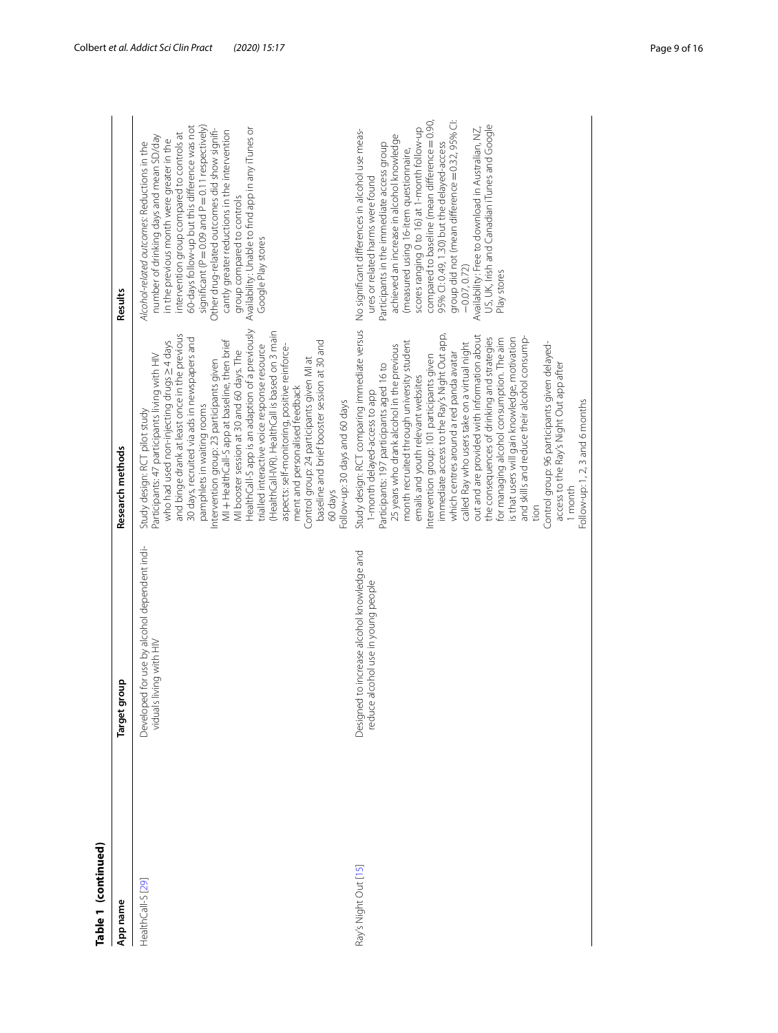| Table 1 (continued)  |                                                                                  |                                                                                                                                                                                                                                                                                                                                                                                                                                                                                                                                                                                                                                                                                                                                                                                                                                           |                                                                                                                                                                                                                                                                                                                                                                                                                                                                                                                                                                |
|----------------------|----------------------------------------------------------------------------------|-------------------------------------------------------------------------------------------------------------------------------------------------------------------------------------------------------------------------------------------------------------------------------------------------------------------------------------------------------------------------------------------------------------------------------------------------------------------------------------------------------------------------------------------------------------------------------------------------------------------------------------------------------------------------------------------------------------------------------------------------------------------------------------------------------------------------------------------|----------------------------------------------------------------------------------------------------------------------------------------------------------------------------------------------------------------------------------------------------------------------------------------------------------------------------------------------------------------------------------------------------------------------------------------------------------------------------------------------------------------------------------------------------------------|
| App name             | Target group                                                                     | Research methods                                                                                                                                                                                                                                                                                                                                                                                                                                                                                                                                                                                                                                                                                                                                                                                                                          | Results                                                                                                                                                                                                                                                                                                                                                                                                                                                                                                                                                        |
| HealthCall-S [29]    | ed for use by alcohol dependent indi-<br>viduals living with HIV<br>Develop      | HealthCall-S app is an adaption of a previously<br>(HealthCall-IVR). HealthCall is based on 3 main<br>and binge drank at least once in the previous<br>30 days, recruited via ads in newspapers and<br>MI + HealthCall-S app at baseline, then brief<br>who had used non-injecting drugs $\geq$ 4 days<br>baseline and brief booster session at 30 and<br>trialled interactive voice response resource<br>aspects: self-monitoring, positive reinforce-<br>MI booster session at 30 and 60 days. The<br>Participants: 47 participants living with HIV<br>Control group: 24 participants given MI at<br>Intervention group: 23 participants given<br>ment and personalised feedback<br>Follow-up: 30 days and 60 days<br>pamphlets in waiting rooms<br>Study design: RCT pilot study<br>60 days                                            | significant ( $P = 0.09$ and $P = 0.11$ respectively)<br>60-days follow-up but this difference was not<br>Other drug-related outcomes did show signifi-<br>Availability: Unable to find app in any iTunes or<br>cantly greater reductions in the intervention<br>intervention group compared to controls at<br>number of drinking days and mean SD/day<br>in the previous month were greater in the<br>Alcohol-related outcomes: Reductions in the<br>group compared to controls<br>Google Play stores                                                         |
| Ray's Night Out [15] | Designed to increase alcohol knowledge and<br>reduce alcohol use in young people | Study design: RCT comparing immediate versus<br>immediate access to the Ray's Night Out app,<br>out and are provided with information about<br>the consequences of drinking and strategies<br>for managing alcohol consumption. The aim<br>is that users will gain knowledge, motivation<br>and skills and reduce their alcohol consump-<br>month recruited through university student<br>called Ray who users take on a virtual night<br>Control group: 96 participants given delayed-<br>25 years who drank alcohol in the previous<br>which centres around a red panda avatar<br>Intervention group: 101 participants given<br>Participants: 197 participants aged 16 to<br>access to the Ray's Night Out app after<br>emails and youth relevant websites<br>1-month delayed-access to app<br>Follow-up: 1, 2, 3 and 6 months<br>month | compared to baseline (mean difference = 0.90,<br>group did not (mean difference = 0.32, 95% Cl:<br>US, UK, Irish and Canadian iTunes and Google<br>Availability: Free to download in Australian, NZ,<br>scores ranging 0 to 16) at 1-month follow-up<br>No significant differences in alcohol use meas-<br>achieved an increase in alcohol knowledge<br>95% CI: 0.49, 1.30) but the delayed-access<br>Participants in the immediate access group<br>(measured using 16-item questionnaire,<br>ures or related harms were found<br>$-0.07, 0.72$<br>Play stores |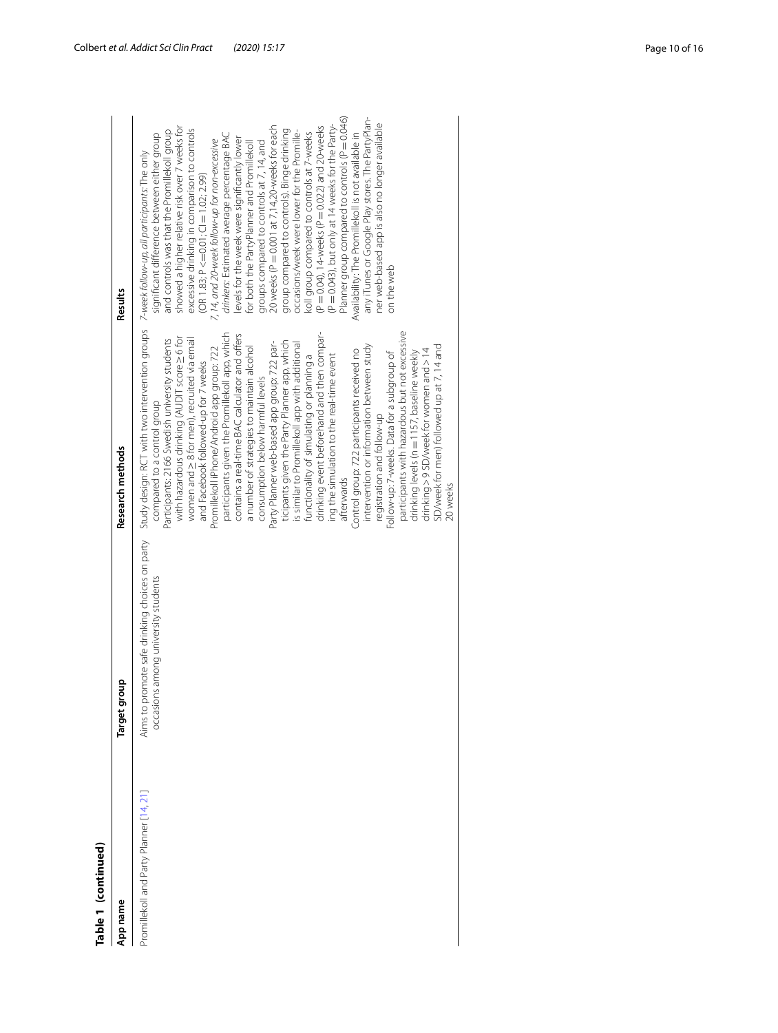| Table 1 (continued)                    |                                                                                       |                                                                                                                                                                                                                                                                                                                                                                                                                                                                                                                                                                                                                                                                                                                                                                                                                                                                                                                                                                                                                                                                                                                                                                                                                                                 |                                                                                                                                                                                                                                                                                                                                                                                                                                                                                                                                                                                                                                                                                                                                                                                                                                                                                                                                                                                                                   |
|----------------------------------------|---------------------------------------------------------------------------------------|-------------------------------------------------------------------------------------------------------------------------------------------------------------------------------------------------------------------------------------------------------------------------------------------------------------------------------------------------------------------------------------------------------------------------------------------------------------------------------------------------------------------------------------------------------------------------------------------------------------------------------------------------------------------------------------------------------------------------------------------------------------------------------------------------------------------------------------------------------------------------------------------------------------------------------------------------------------------------------------------------------------------------------------------------------------------------------------------------------------------------------------------------------------------------------------------------------------------------------------------------|-------------------------------------------------------------------------------------------------------------------------------------------------------------------------------------------------------------------------------------------------------------------------------------------------------------------------------------------------------------------------------------------------------------------------------------------------------------------------------------------------------------------------------------------------------------------------------------------------------------------------------------------------------------------------------------------------------------------------------------------------------------------------------------------------------------------------------------------------------------------------------------------------------------------------------------------------------------------------------------------------------------------|
| App name                               | Target group                                                                          | Research methods                                                                                                                                                                                                                                                                                                                                                                                                                                                                                                                                                                                                                                                                                                                                                                                                                                                                                                                                                                                                                                                                                                                                                                                                                                | Results                                                                                                                                                                                                                                                                                                                                                                                                                                                                                                                                                                                                                                                                                                                                                                                                                                                                                                                                                                                                           |
| Promillekoll and Party Planner [14, 21 | Aims to promote safe drinking choices on party<br>occasions among university students | Study design: RCT with two intervention groups  7-week follow-up, all participants: The only<br>participants with hazardous but not excessive<br>drinking event beforehand and then compar-<br>participants given the Promillekoll app, which<br>contains a real-time BAC calculator and offers<br>with hazardous drinking (AUDIT score > 6 for<br>Participants: 2166 Swedish university students<br>women and $\geq$ 8 for men), recruited via email<br>ticipants given the Party Planner app, which<br>Party Planner web-based app group: 722 par-<br>is similar to Promillekoll app with additional<br>intervention or information between study<br>SD/week for men) followed up at 7, 14 and<br>a number of strategies to maintain alcohol<br>Promillekoll iPhone/Android app group: 722<br>Control group: 722 participants received no<br>drinking > 9 SD/week for women and > 14<br>drinking levels (n = 1157, baseline weekly<br>Follow-up: 7-weeks. Data for a subgroup of<br>ing the simulation to the real-time event<br>functionality of simulating or planning a<br>and Facebook followed-up for 7 weeks<br>consumption below harmful levels<br>compared to a control group<br>registration and follow-up<br>afterwards<br>20 weeks | Planner group compared to controls (P = 0.046)<br>any iTunes or Google Play stores. The PartyPlan-<br>ner web-based app is also no longer available<br>(P = 0.043), but only at 14 weeks for the Party-<br>showed a higher relative risk over 7 weeks for<br>groups compared to controls at 7, 14, and<br>20 weeks (P = 0.001 at 7, 14,20-weeks for each<br>(P = 0.04), 14-weeks (P = 0.022) and 20-weeks<br>excessive drinking in comparison to controls<br>group compared to controls). Binge drinking<br>and controls was that the Promillekoll group<br>occasions/week were lower for the Promille-<br>koll group compared to controls at 7-weeks<br>drinkers: Estimated average percentage BAC<br>Availability: The Promillekoll is not available in<br>significant difference between either group<br>levels for the week were significantly lower<br>7, 14, and 20-week follow-up for non-excessive<br>for both the PartyPlanner and Promillekoll<br>$(OR 1.83; P <= 0.01; CI = 1.02; 2.99)$<br>on the web |
|                                        |                                                                                       |                                                                                                                                                                                                                                                                                                                                                                                                                                                                                                                                                                                                                                                                                                                                                                                                                                                                                                                                                                                                                                                                                                                                                                                                                                                 |                                                                                                                                                                                                                                                                                                                                                                                                                                                                                                                                                                                                                                                                                                                                                                                                                                                                                                                                                                                                                   |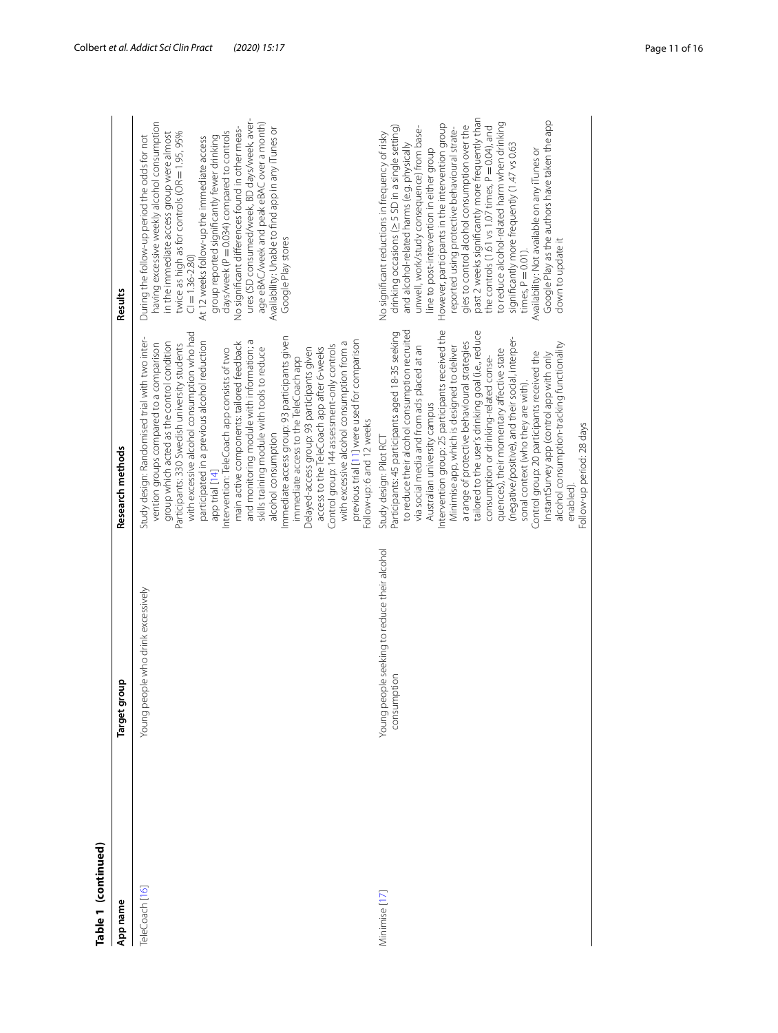| Table 1 (continued) |                                                             |                                                                                                                                                                                                                                                                                                                                                                                                                                                                                                                                                                                                                                                                                                                                                                                                                                                                                        |                                                                                                                                                                                                                                                                                                                                                                                                                                                                                                                                                                                                                                                                                                                                                     |
|---------------------|-------------------------------------------------------------|----------------------------------------------------------------------------------------------------------------------------------------------------------------------------------------------------------------------------------------------------------------------------------------------------------------------------------------------------------------------------------------------------------------------------------------------------------------------------------------------------------------------------------------------------------------------------------------------------------------------------------------------------------------------------------------------------------------------------------------------------------------------------------------------------------------------------------------------------------------------------------------|-----------------------------------------------------------------------------------------------------------------------------------------------------------------------------------------------------------------------------------------------------------------------------------------------------------------------------------------------------------------------------------------------------------------------------------------------------------------------------------------------------------------------------------------------------------------------------------------------------------------------------------------------------------------------------------------------------------------------------------------------------|
| App name            | Target group                                                | Research methods                                                                                                                                                                                                                                                                                                                                                                                                                                                                                                                                                                                                                                                                                                                                                                                                                                                                       | Results                                                                                                                                                                                                                                                                                                                                                                                                                                                                                                                                                                                                                                                                                                                                             |
| TeleCoach [16]      | Young people who drink excessively                          | with excessive alcohol consumption who had<br>Immediate access group: 93 participants given<br>Study design: Randomised trial with two inter-<br>participated in a previous alcohol reduction<br>previous trial [11] were used for comparison<br>and monitoring module with information; a<br>group which acted as the control condition<br>with excessive alcohol consumption from a<br>main active components: tailored feedback<br>Participants: 330 Swedish university students<br>vention groups compared to a comparison<br>Control group: 144 assessment-only controls<br>skills training module with tools to reduce<br>Delayed-access group: 93 participants given<br>access to the TeleCoach app after 6-weeks<br>Intervention: TeleCoach app consists of two<br>immediate access to the TeleCoach app<br>Follow-up: 6 and 12 weeks<br>alcohol consumption<br>app trial [14] | ures (SD consumed/week, BD days/week, aver-<br>having excessive weekly alcohol consumption<br>age eBAC/week and peak eBAC over a month)<br>Availability: Unable to find app in any iTunes or<br>No significant differences found in other meas-<br>days/week (P = 0.034) compared to controls<br>twice as high as for controls (OR = 1.95, 95%<br>in the immediate access group were almost<br>During the follow-up period the odds for not<br>group reported significantly fewer drinking<br>At 12 weeks follow-up the immediate access<br>Google Play stores<br>$Cl = 1.36 - 2.80$                                                                                                                                                                |
| Minimise [17]       | Young people seeking to reduce their alcohol<br>consumption | to reduce their alcohol consumption recruited<br>Intervention group: 25 participants received the<br>tailored to the user's drinking goal (i.e., reduce<br>Participants: 45 participants aged 18-35 seeking<br>(negative/positive), and their social, interper-<br>a range of protective behavioural strategies<br>alcohol consumption-tracking functionality<br>via social media and from ads placed at an<br>Minimise app, which is designed to deliver<br>quences), their momentary affective state<br>Control group: 20 participants received the<br>InstantSurvey app (control app with only<br>consumption or drinking-related conse-<br>sonal context (who they are with).<br>Australian university campus<br>Follow-up period: 28 days<br>Study design: Pilot RC<br>enabled)                                                                                                   | past 2 weeks significantly more frequently than<br>Google Play as the authors have taken the app<br>to reduce alcohol-related harm when drinking<br>However, participants in the intervention group<br>gies to control alcohol consumption over the<br>the controls (1.61 vs 1.07 times, P = 0.04), and<br>drinking occasions (≥ 5 SD in a single setting)<br>unwell, work/study consequence) from base-<br>reported using protective behavioural strate-<br>No significant reductions in frequency of risky<br>and alcohol-related harms (e.g. physically<br>significantly more frequently (1.47 vs 0.63<br>Availability: Not available on any iTunes or<br>line to post-intervention in either group<br>down to update it<br>times, $P = 0.01$ ). |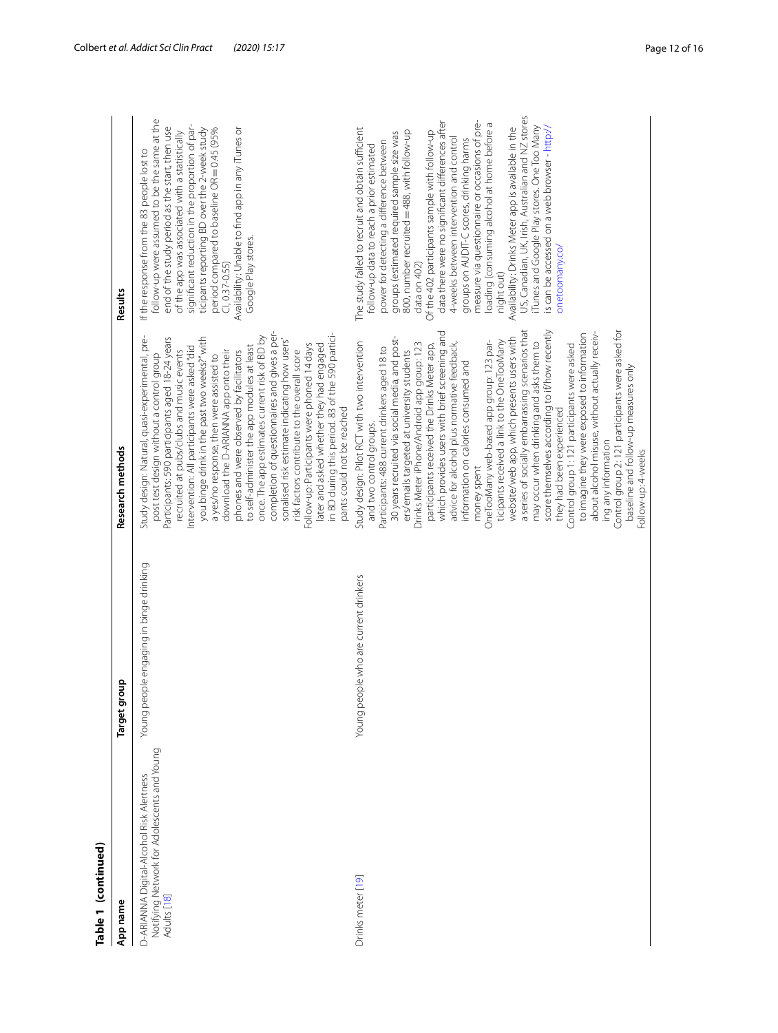| ٦ |      |
|---|------|
|   |      |
|   | ׇ֚֕֡ |
|   |      |
|   |      |
|   |      |
|   |      |
|   |      |
| ۲ |      |
| ţ |      |
| r |      |
|   |      |

| Table 1 (continued)                                                                                    |                                         |                                                                                                                                                                                                                                                                                                                                                                                                                                                                                                                                                                                                                                                                                                                                                                                                                                                                                                                                                                                                                                                                                               |                                                                                                                                                                                                                                                                                                                                                                                                                                                                                                                                                                                                                                                                                                                                                                                                  |
|--------------------------------------------------------------------------------------------------------|-----------------------------------------|-----------------------------------------------------------------------------------------------------------------------------------------------------------------------------------------------------------------------------------------------------------------------------------------------------------------------------------------------------------------------------------------------------------------------------------------------------------------------------------------------------------------------------------------------------------------------------------------------------------------------------------------------------------------------------------------------------------------------------------------------------------------------------------------------------------------------------------------------------------------------------------------------------------------------------------------------------------------------------------------------------------------------------------------------------------------------------------------------|--------------------------------------------------------------------------------------------------------------------------------------------------------------------------------------------------------------------------------------------------------------------------------------------------------------------------------------------------------------------------------------------------------------------------------------------------------------------------------------------------------------------------------------------------------------------------------------------------------------------------------------------------------------------------------------------------------------------------------------------------------------------------------------------------|
| App name                                                                                               | quo<br>Target gl                        | Research methods                                                                                                                                                                                                                                                                                                                                                                                                                                                                                                                                                                                                                                                                                                                                                                                                                                                                                                                                                                                                                                                                              | Results                                                                                                                                                                                                                                                                                                                                                                                                                                                                                                                                                                                                                                                                                                                                                                                          |
| Notifying Network for Adolescents and Young<br>D-ARIANNA Digital-Alcohol Risk Alertness<br>Adults [18] | Young people engaging in binge drinking | completion of questionnaires and gives a per-<br>in BD during this period. 83 of the 590 partici-<br>Study design: Natural, quasi-experimental, pre-<br>once. The app estimates current risk of BD by<br>you binge drink in the past two weeks?" with<br>Participants: 590 participants aged 18-24 years<br>sonalised risk estimate indicating how users'<br>Follow-up: Participants were phoned 14 days<br>later and asked whether they had engaged<br>to self-administer the app modules at least<br>Intervention: All participants were asked "did<br>recruited at pubs/clubs and music events<br>download the D-ARIANNA app onto their<br>phones and were observed by facilitators<br>risk factors contribute to the overall score<br>post test design without a control group<br>a yes/no response, then were assisted to<br>pants could not be reached                                                                                                                                                                                                                                  | follow-up were assumed to be the same at the<br>significant reduction in the proportion of par-<br>end of the study period as the start, then use<br>ticipants reporting BD over the 2-week study<br>period compared to baseline OR = 0.45 (95%<br>Availability: Unable to find app in any iTunes or<br>of the app was associated with a statistically<br>If the response from the 83 people lost to<br>Google Play stores.<br>$Cl, 0.37 - 0.55)$                                                                                                                                                                                                                                                                                                                                                |
| Drinks meter [19]                                                                                      | Young people who are current drinkers   | a series of socially embarrassing scenarios that<br>Control group 2: 121 participants were asked for<br>score themselves according to if/how recently<br>which provides users with brief screening and<br>about alcohol misuse, without actually receiv-<br>to imagine they were exposed to information<br>30 years recruited via social media, and post-<br>website/web app, which presents users with<br>ticipants received a link to the OneTooMany<br>OneTooMany web-based app group: 123 par-<br>Study design: Pilot RCT with two intervention<br>advice for alcohol plus normative feedback,<br>may occur when drinking and asks them to<br>Drinks Meter iPhone/Android app group: 123<br>participants received the Drinks Meter app,<br>Control group 1:121 participants were asked<br>Participants: 488 current drinkers aged 18 to<br>ers/emails targeted at university students<br>information on calories consumed and<br>baseline and follow-up measures only<br>they had been experienced<br>and two control groups.<br>ing any information<br>Follow-up: 4-weeks<br>money spent | US, Canadian, UK, Irish, Australian and NZ stores<br>data there were no significant differences after<br>measure via questionnaire or occasions of pre-<br>loading (consuming alcohol at home before a<br>iTunes and Google Play stores. One Too Many<br>Availability: Drinks Meter app is available in the<br>is can be accessed on a web browser - http://<br>The study failed to recruit and obtain sufficient<br>800, number recruited = 488, with follow-up<br>Of the 402 participants sample with follow-up<br>groups (estimated required sample size was<br>4-weeks between intervention and control<br>groups on AUDIT-C scores, drinking harms<br>power for detecting a difference between<br>follow-up data to reach a prior estimated<br>onetoomany.co/<br>data on 402)<br>night out) |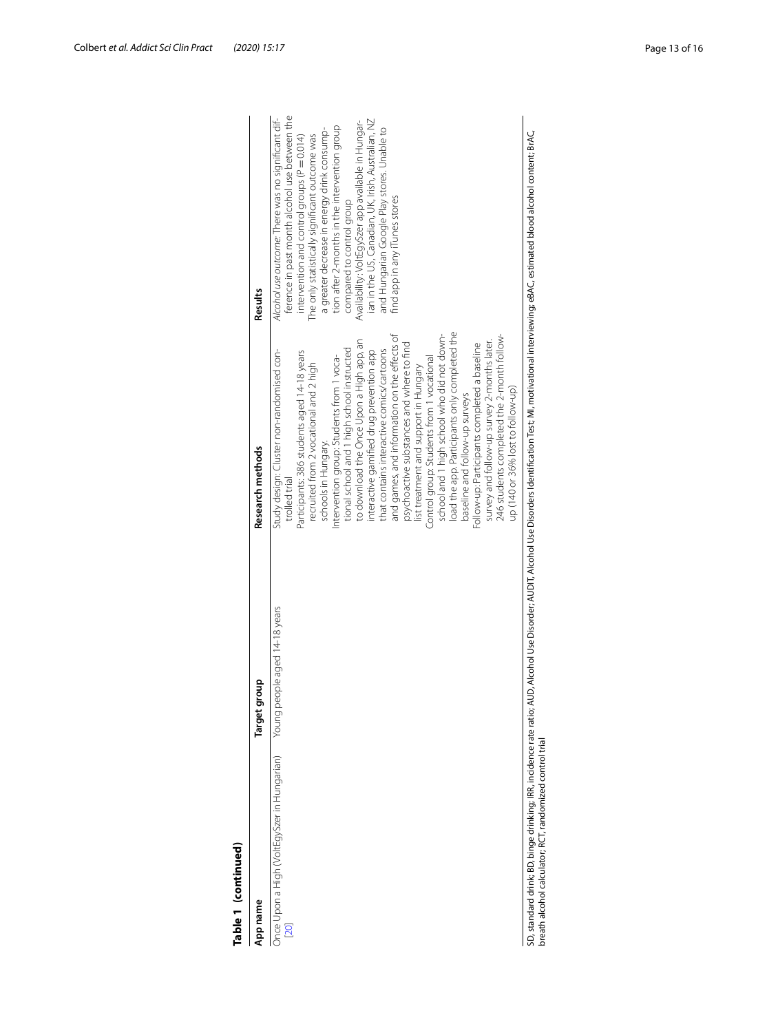| App name                                            | Target group                  | Research methods                                                                                                                                                                                                                                                                                                                                                                                                                                                                                                                                                                                                                                                                                                                                                                                                             | Results                                                                                                                                                                                                                                                                                                                                                                                                                                                                                                                         |
|-----------------------------------------------------|-------------------------------|------------------------------------------------------------------------------------------------------------------------------------------------------------------------------------------------------------------------------------------------------------------------------------------------------------------------------------------------------------------------------------------------------------------------------------------------------------------------------------------------------------------------------------------------------------------------------------------------------------------------------------------------------------------------------------------------------------------------------------------------------------------------------------------------------------------------------|---------------------------------------------------------------------------------------------------------------------------------------------------------------------------------------------------------------------------------------------------------------------------------------------------------------------------------------------------------------------------------------------------------------------------------------------------------------------------------------------------------------------------------|
| Once Upon a High (VoltEgySzer in Hungarian)<br>[20] | Young people aged 14-18 years | load the app. Participants only completed the<br>and games, and information on the effects of<br>school and 1 high school who did not down-<br>to download the Once Upon a High app, an<br>survey and follow-up survey 2-months later.<br>Follow-up: Participants completed a baseline<br>psychoactive substances and where to find<br>tional school and 1 high school instructed<br>Study design: Cluster non-randomised con-<br>that contains interactive comics/cartoons<br>interactive gamified drug prevention app<br>Participants: 386 students aged 14-18 years<br>ntervention group: Students from 1 voca-<br>Control group: Students from 1 vocational<br>recruited from 2 vocational and 2 high<br>list treatment and support in Hungary<br>baseline and follow-up surveys<br>schools in Hungary.<br>trolled trial | ference in past month alcohol use between the<br>Alcohol use outcome: There was no significant dif-<br>ian in the US, Canadian, UK, Irish, Australian, NZ<br>Availability: VoltEgySzer app available in Hungar-<br>tion after 2-months in the intervention group<br>and Hungarian Google Play stores. Unable to<br>a greater decrease in energy drink consump-<br>intervention and control groups $(P = 0.014)$<br>The only statistically significant outcome was<br>find app in any iTunes stores<br>compared to control group |
|                                                     |                               | 246 students completed the 2-month follow-<br>up (140 or 36% lost to follow-up)                                                                                                                                                                                                                                                                                                                                                                                                                                                                                                                                                                                                                                                                                                                                              |                                                                                                                                                                                                                                                                                                                                                                                                                                                                                                                                 |

| ļ             |
|---------------|
| Ξ             |
|               |
|               |
|               |
|               |
|               |
|               |
| ۱             |
|               |
|               |
| í             |
|               |
| ₹             |
| d             |
|               |
|               |
| $\vdots$<br>ē |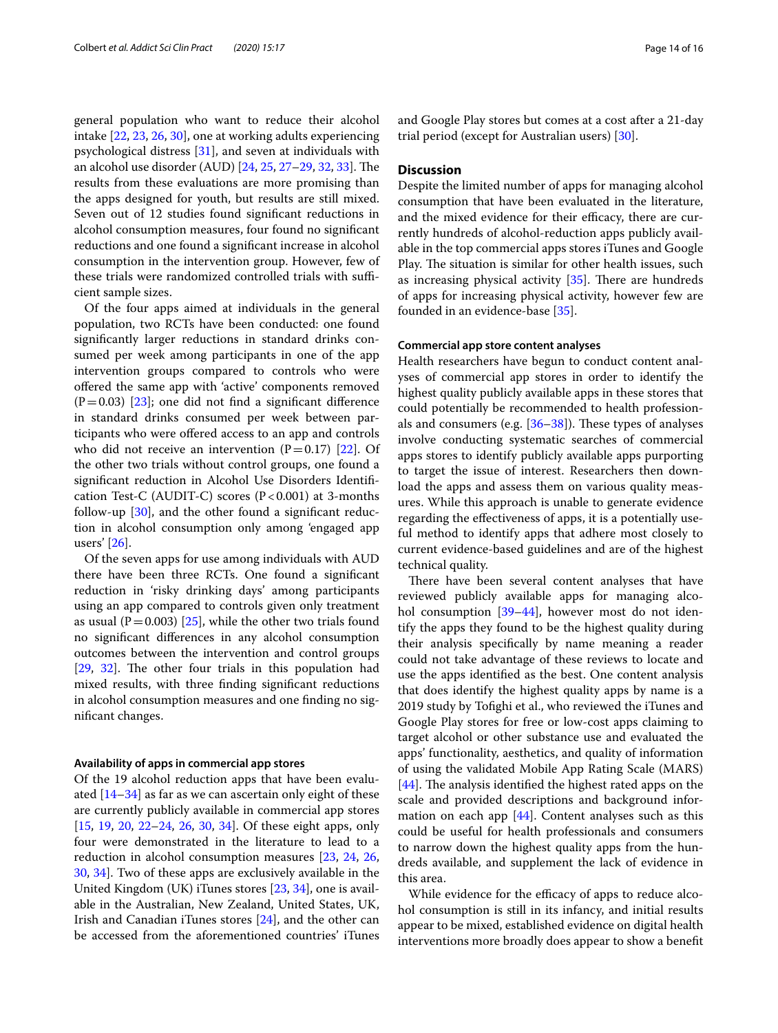general population who want to reduce their alcohol intake [\[22](#page-15-3), [23](#page-15-8), [26,](#page-15-5) [30](#page-15-6)], one at working adults experiencing psychological distress [[31\]](#page-15-9), and seven at individuals with an alcohol use disorder (AUD) [\[24](#page-15-4), [25](#page-15-12), [27](#page-15-11)[–29](#page-15-15), [32](#page-15-10), [33\]](#page-15-13). The results from these evaluations are more promising than the apps designed for youth, but results are still mixed. Seven out of 12 studies found signifcant reductions in alcohol consumption measures, four found no signifcant reductions and one found a signifcant increase in alcohol consumption in the intervention group. However, few of these trials were randomized controlled trials with sufficient sample sizes.

Of the four apps aimed at individuals in the general population, two RCTs have been conducted: one found signifcantly larger reductions in standard drinks consumed per week among participants in one of the app intervention groups compared to controls who were ofered the same app with 'active' components removed  $(P=0.03)$  [[23\]](#page-15-8); one did not find a significant difference in standard drinks consumed per week between participants who were offered access to an app and controls who did not receive an intervention  $(P=0.17)$  [[22](#page-15-3)]. Of the other two trials without control groups, one found a signifcant reduction in Alcohol Use Disorders Identifcation Test-C (AUDIT-C) scores  $(P<0.001)$  at 3-months follow-up [\[30\]](#page-15-6), and the other found a signifcant reduction in alcohol consumption only among 'engaged app users' [\[26](#page-15-5)].

Of the seven apps for use among individuals with AUD there have been three RCTs. One found a signifcant reduction in 'risky drinking days' among participants using an app compared to controls given only treatment as usual ( $P=0.003$ ) [ $25$ ], while the other two trials found no signifcant diferences in any alcohol consumption outcomes between the intervention and control groups [[29,](#page-15-15) [32\]](#page-15-10). The other four trials in this population had mixed results, with three fnding signifcant reductions in alcohol consumption measures and one fnding no signifcant changes.

#### **Availability of apps in commercial app stores**

Of the 19 alcohol reduction apps that have been evaluated  $[14-34]$  $[14-34]$  $[14-34]$  as far as we can ascertain only eight of these are currently publicly available in commercial app stores [[15,](#page-14-12) [19](#page-15-1), [20](#page-15-2), [22–](#page-15-3)[24](#page-15-4), [26,](#page-15-5) [30](#page-15-6), [34](#page-15-0)]. Of these eight apps, only four were demonstrated in the literature to lead to a reduction in alcohol consumption measures [\[23](#page-15-8), [24,](#page-15-4) [26](#page-15-5), [30,](#page-15-6) [34](#page-15-0)]. Two of these apps are exclusively available in the United Kingdom (UK) iTunes stores [[23,](#page-15-8) [34](#page-15-0)], one is available in the Australian, New Zealand, United States, UK, Irish and Canadian iTunes stores [\[24\]](#page-15-4), and the other can be accessed from the aforementioned countries' iTunes and Google Play stores but comes at a cost after a 21-day trial period (except for Australian users) [\[30](#page-15-6)].

## **Discussion**

Despite the limited number of apps for managing alcohol consumption that have been evaluated in the literature, and the mixed evidence for their efficacy, there are currently hundreds of alcohol-reduction apps publicly available in the top commercial apps stores iTunes and Google Play. The situation is similar for other health issues, such as increasing physical activity  $[35]$  $[35]$ . There are hundreds of apps for increasing physical activity, however few are founded in an evidence-base [[35\]](#page-15-16).

## **Commercial app store content analyses**

Health researchers have begun to conduct content analyses of commercial app stores in order to identify the highest quality publicly available apps in these stores that could potentially be recommended to health professionals and consumers (e.g.  $[36-38]$  $[36-38]$  $[36-38]$ ). These types of analyses involve conducting systematic searches of commercial apps stores to identify publicly available apps purporting to target the issue of interest. Researchers then download the apps and assess them on various quality measures. While this approach is unable to generate evidence regarding the efectiveness of apps, it is a potentially useful method to identify apps that adhere most closely to current evidence-based guidelines and are of the highest technical quality.

There have been several content analyses that have reviewed publicly available apps for managing alco-hol consumption [\[39–](#page-15-19)[44\]](#page-15-20), however most do not identify the apps they found to be the highest quality during their analysis specifcally by name meaning a reader could not take advantage of these reviews to locate and use the apps identifed as the best. One content analysis that does identify the highest quality apps by name is a 2019 study by Tofghi et al., who reviewed the iTunes and Google Play stores for free or low-cost apps claiming to target alcohol or other substance use and evaluated the apps' functionality, aesthetics, and quality of information of using the validated Mobile App Rating Scale (MARS)  $[44]$  $[44]$ . The analysis identified the highest rated apps on the scale and provided descriptions and background information on each app  $[44]$  $[44]$ . Content analyses such as this could be useful for health professionals and consumers to narrow down the highest quality apps from the hundreds available, and supplement the lack of evidence in this area.

While evidence for the efficacy of apps to reduce alcohol consumption is still in its infancy, and initial results appear to be mixed, established evidence on digital health interventions more broadly does appear to show a beneft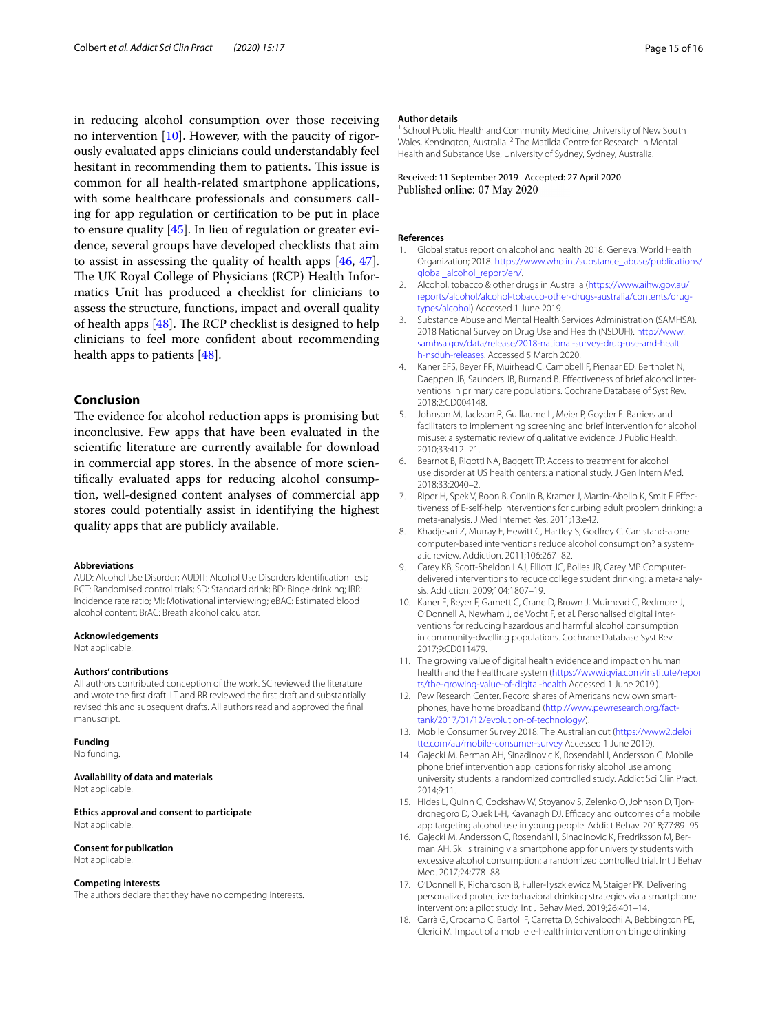in reducing alcohol consumption over those receiving no intervention [[10\]](#page-14-7). However, with the paucity of rigorously evaluated apps clinicians could understandably feel hesitant in recommending them to patients. This issue is common for all health-related smartphone applications, with some healthcare professionals and consumers calling for app regulation or certifcation to be put in place to ensure quality [[45\]](#page-15-21). In lieu of regulation or greater evidence, several groups have developed checklists that aim to assist in assessing the quality of health apps [[46,](#page-15-22) [47](#page-15-23)]. The UK Royal College of Physicians (RCP) Health Informatics Unit has produced a checklist for clinicians to assess the structure, functions, impact and overall quality of health apps  $[48]$  $[48]$  $[48]$ . The RCP checklist is designed to help clinicians to feel more confdent about recommending health apps to patients [\[48](#page-15-24)].

## **Conclusion**

The evidence for alcohol reduction apps is promising but inconclusive. Few apps that have been evaluated in the scientifc literature are currently available for download in commercial app stores. In the absence of more scientifcally evaluated apps for reducing alcohol consumption, well-designed content analyses of commercial app stores could potentially assist in identifying the highest quality apps that are publicly available.

#### **Abbreviations**

AUD: Alcohol Use Disorder; AUDIT: Alcohol Use Disorders Identifcation Test; RCT: Randomised control trials; SD: Standard drink; BD: Binge drinking; IRR: Incidence rate ratio; MI: Motivational interviewing; eBAC: Estimated blood alcohol content; BrAC: Breath alcohol calculator.

#### **Acknowledgements**

Not applicable.

#### **Authors' contributions**

All authors contributed conception of the work. SC reviewed the literature and wrote the frst draft. LT and RR reviewed the frst draft and substantially revised this and subsequent drafts. All authors read and approved the fnal manuscript.

#### **Funding**

No funding.

#### **Availability of data and materials** Not applicable.

**Ethics approval and consent to participate** Not applicable.

#### **Consent for publication**

Not applicable.

## **Competing interests**

The authors declare that they have no competing interests.

#### **Author details**

School Public Health and Community Medicine, University of New South Wales, Kensington, Australia. <sup>2</sup> The Matilda Centre for Research in Mental Health and Substance Use, University of Sydney, Sydney, Australia.

Received: 11 September 2019 Accepted: 27 April 2020 Published online: 07 May 2020

#### **References**

- <span id="page-14-0"></span>1. Global status report on alcohol and health 2018. Geneva: World Health Organization; 2018. [https://www.who.int/substance\\_abuse/publications/](https://www.who.int/substance_abuse/publications/global_alcohol_report/en/) [global\\_alcohol\\_report/en/](https://www.who.int/substance_abuse/publications/global_alcohol_report/en/).
- 2. Alcohol, tobacco & other drugs in Australia ([https://www.aihw.gov.au/](https://www.aihw.gov.au/reports/alcohol/alcohol-tobacco-other-drugs-australia/contents/drug-types/alcohol) [reports/alcohol/alcohol-tobacco-other-drugs-australia/contents/drug](https://www.aihw.gov.au/reports/alcohol/alcohol-tobacco-other-drugs-australia/contents/drug-types/alcohol)[types/alcohol\)](https://www.aihw.gov.au/reports/alcohol/alcohol-tobacco-other-drugs-australia/contents/drug-types/alcohol) Accessed 1 June 2019.
- <span id="page-14-1"></span>3. Substance Abuse and Mental Health Services Administration (SAMHSA). 2018 National Survey on Drug Use and Health (NSDUH). [http://www.](http://www.samhsa.gov/data/release/2018-national-survey-drug-use-and-health-nsduh-releases) [samhsa.gov/data/release/2018-national-survey-drug-use-and-healt](http://www.samhsa.gov/data/release/2018-national-survey-drug-use-and-health-nsduh-releases) [h-nsduh-releases.](http://www.samhsa.gov/data/release/2018-national-survey-drug-use-and-health-nsduh-releases) Accessed 5 March 2020.
- <span id="page-14-2"></span>4. Kaner EFS, Beyer FR, Muirhead C, Campbell F, Pienaar ED, Bertholet N, Daeppen JB, Saunders JB, Burnand B. Efectiveness of brief alcohol interventions in primary care populations. Cochrane Database of Syst Rev. 2018;2:CD004148.
- <span id="page-14-3"></span>5. Johnson M, Jackson R, Guillaume L, Meier P, Goyder E. Barriers and facilitators to implementing screening and brief intervention for alcohol misuse: a systematic review of qualitative evidence. J Public Health. 2010;33:412–21.
- <span id="page-14-4"></span>6. Bearnot B, Rigotti NA, Baggett TP. Access to treatment for alcohol use disorder at US health centers: a national study. J Gen Intern Med. 2018;33:2040–2.
- <span id="page-14-5"></span>7. Riper H, Spek V, Boon B, Conijn B, Kramer J, Martin-Abello K, Smit F. Efectiveness of E-self-help interventions for curbing adult problem drinking: a meta-analysis. J Med Internet Res. 2011;13:e42.
- 8. Khadjesari Z, Murray E, Hewitt C, Hartley S, Godfrey C. Can stand-alone computer-based interventions reduce alcohol consumption? a systematic review. Addiction. 2011;106:267–82.
- <span id="page-14-6"></span>9. Carey KB, Scott-Sheldon LAJ, Elliott JC, Bolles JR, Carey MP. Computerdelivered interventions to reduce college student drinking: a meta-analysis. Addiction. 2009;104:1807–19.
- <span id="page-14-7"></span>10. Kaner E, Beyer F, Garnett C, Crane D, Brown J, Muirhead C, Redmore J, O'Donnell A, Newham J, de Vocht F, et al. Personalised digital interventions for reducing hazardous and harmful alcohol consumption in community-dwelling populations. Cochrane Database Syst Rev. 2017;9:CD011479.
- <span id="page-14-8"></span>11. The growing value of digital health evidence and impact on human health and the healthcare system ([https://www.iqvia.com/institute/repor](https://www.iqvia.com/institute/reports/the-growing-value-of-digital-health) [ts/the-growing-value-of-digital-health](https://www.iqvia.com/institute/reports/the-growing-value-of-digital-health) Accessed 1 June 2019.).
- <span id="page-14-9"></span>12. Pew Research Center. Record shares of Americans now own smartphones, have home broadband ([http://www.pewresearch.org/fact](http://www.pewresearch.org/fact-tank/2017/01/12/evolution-of-technology/)[tank/2017/01/12/evolution-of-technology/](http://www.pewresearch.org/fact-tank/2017/01/12/evolution-of-technology/)).
- <span id="page-14-10"></span>13. Mobile Consumer Survey 2018: The Australian cut [\(https://www2.deloi](https://www2.deloitte.com/au/mobile-consumer-survey) [tte.com/au/mobile-consumer-survey](https://www2.deloitte.com/au/mobile-consumer-survey) Accessed 1 June 2019).
- <span id="page-14-11"></span>14. Gajecki M, Berman AH, Sinadinovic K, Rosendahl I, Andersson C. Mobile phone brief intervention applications for risky alcohol use among university students: a randomized controlled study. Addict Sci Clin Pract. 2014;9:11.
- <span id="page-14-12"></span>15. Hides L, Quinn C, Cockshaw W, Stoyanov S, Zelenko O, Johnson D, Tjondronegoro D, Quek L-H, Kavanagh DJ. Efficacy and outcomes of a mobile app targeting alcohol use in young people. Addict Behav. 2018;77:89–95.
- <span id="page-14-14"></span>16. Gajecki M, Andersson C, Rosendahl I, Sinadinovic K, Fredriksson M, Berman AH. Skills training via smartphone app for university students with excessive alcohol consumption: a randomized controlled trial. Int J Behav Med. 2017;24:778–88.
- <span id="page-14-13"></span>17. O'Donnell R, Richardson B, Fuller-Tyszkiewicz M, Staiger PK. Delivering personalized protective behavioral drinking strategies via a smartphone intervention: a pilot study. Int J Behav Med. 2019;26:401–14.
- <span id="page-14-15"></span>18. Carrà G, Crocamo C, Bartoli F, Carretta D, Schivalocchi A, Bebbington PE, Clerici M. Impact of a mobile e-health intervention on binge drinking